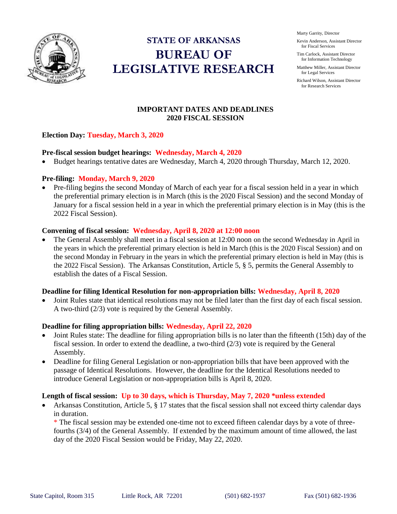

# **STATE OF ARKANSAS BUREAU OF LEGISLATIVE RESEARCH**

Marty Garrity, Director

Kevin Anderson, Assistant Director for Fiscal Services

Tim Carlock, Assistant Director for Information Technology

Matthew Miller, Assistant Director for Legal Services

Richard Wilson, Assistant Director for Research Services

## **IMPORTANT DATES AND DEADLINES 2020 FISCAL SESSION**

## **Election Day: Tuesday, March 3, 2020**

#### **Pre-fiscal session budget hearings: Wednesday, March 4, 2020**

Budget hearings tentative dates are Wednesday, March 4, 2020 through Thursday, March 12, 2020.

#### **Pre-filing: Monday, March 9, 2020**

• Pre-filing begins the second Monday of March of each year for a fiscal session held in a year in which the preferential primary election is in March (this is the 2020 Fiscal Session) and the second Monday of January for a fiscal session held in a year in which the preferential primary election is in May (this is the 2022 Fiscal Session).

#### **Convening of fiscal session: Wednesday, April 8, 2020 at 12:00 noon**

• The General Assembly shall meet in a fiscal session at 12:00 noon on the second Wednesday in April in the years in which the preferential primary election is held in March (this is the 2020 Fiscal Session) and on the second Monday in February in the years in which the preferential primary election is held in May (this is the 2022 Fiscal Session). The Arkansas Constitution, Article 5, § 5, permits the General Assembly to establish the dates of a Fiscal Session.

#### **Deadline for filing Identical Resolution for non-appropriation bills: Wednesday, April 8, 2020**

 Joint Rules state that identical resolutions may not be filed later than the first day of each fiscal session. A two-third (2/3) vote is required by the General Assembly.

## **Deadline for filing appropriation bills: Wednesday, April 22, 2020**

- Joint Rules state: The deadline for filing appropriation bills is no later than the fifteenth (15th) day of the fiscal session. In order to extend the deadline, a two-third  $(2/3)$  vote is required by the General Assembly.
- Deadline for filing General Legislation or non-appropriation bills that have been approved with the passage of Identical Resolutions. However, the deadline for the Identical Resolutions needed to introduce General Legislation or non-appropriation bills is April 8, 2020.

#### **Length of fiscal session: Up to 30 days, which is Thursday, May 7, 2020 \*unless extended**

• Arkansas Constitution, Article 5, § 17 states that the fiscal session shall not exceed thirty calendar days in duration.

\* The fiscal session may be extended one-time not to exceed fifteen calendar days by a vote of threefourths (3/4) of the General Assembly. If extended by the maximum amount of time allowed, the last day of the 2020 Fiscal Session would be Friday, May 22, 2020.